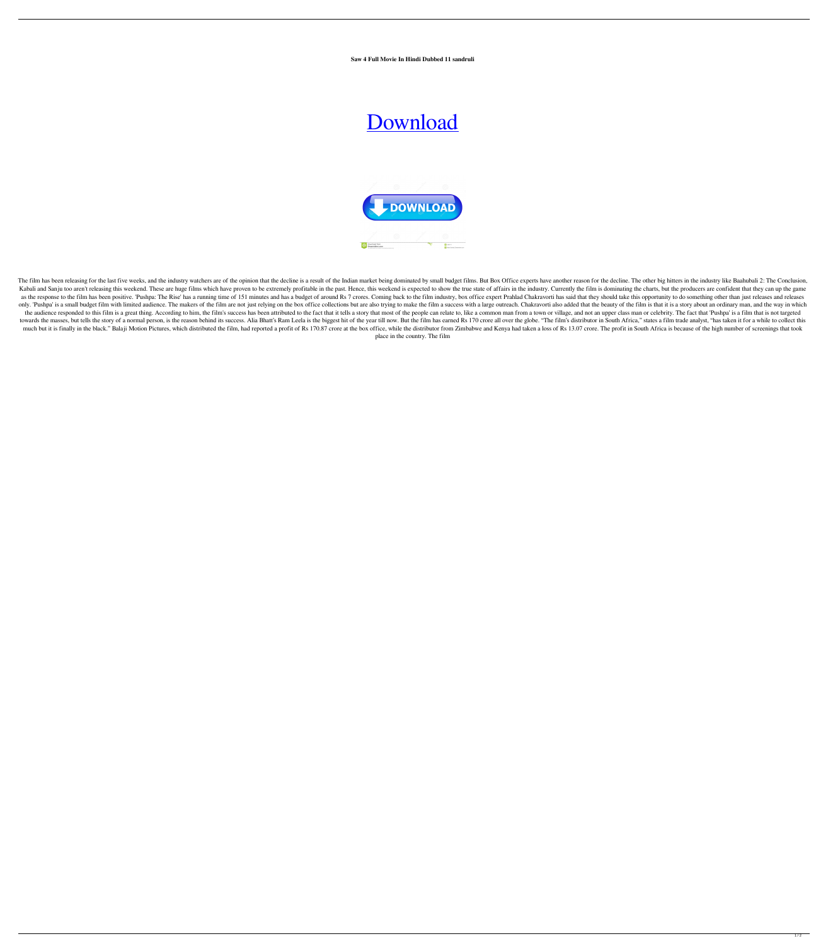**Saw 4 Full Movie In Hindi Dubbed 11 sandruli**

## [Download](http://evacdir.com/ZG93bmxvYWR8VjlmYjIxa2ZId3hOalV5TkRZek1EVXdmSHd5TlRjMGZId29UU2tnY21WaFpDMWliRzluSUZ0R1lYTjBJRWRGVGww/c2F3IDQgZnVsbCBtb3ZpZSBpbiBoaW5kaSBkdWJiZWQgMTEc2F.avoided.carrillo?bolstering=cruiseonly)



The film has been releasing for the last five weeks, and the industry watchers are of the opinion that the decline is a result of the Indian market being dominated by small budget films. But Box Office experts have another Kabali and Sanju too aren't releasing this weekend. These are huge films which have proven to be extremely profitable in the past. Hence, this weekend is expected to show the true state of affairs in the industry. Currentl as the response to the film has been positive. 'Pushpa: The Rise' has a running time of 151 minutes and has a budget of around Rs 7 crores. Coming back to the film industry, box office expert Prahlad Chakravorti has said t only. 'Pushpa' is a small budget film with limited audience. The makers of the film are not just relying on the box office collections but are also trying to make the film a success with a large outreach. Chakravorti also the audience responded to this film is a great thing. According to him, the film's success has been attributed to the fact that it tells a story that most of the people can relate to, like a common man from a town or villa towards the masses, but tells the story of a normal person, is the reason behind its success. Alia Bhatt's Ram Leela is the biggest hit of the year till now. But the film has earned Rs 170 crore all over the globe. "The fi much but it is finally in the black." Balaji Motion Pictures, which distributed the film, had reported a profit of Rs 170.87 crore at the box office, while the distributor from Zimbabwe and Kenya had taken a loss of Rs 13. place in the country. The film